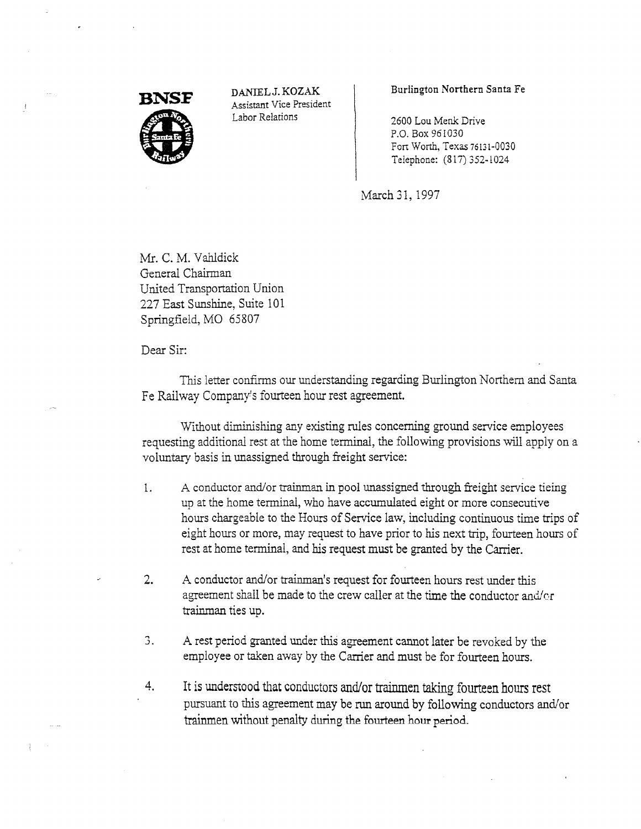

**BNSF** DANIEL J. KOZAK Burlington Northern Santa Fe Assistant Vice President Labor Relations 2600 Lou Menk Drive

P.O. Box 961030 Fort Worth, Texas 76131-0030 Telephone: (817) 352-1024

March 31, 1997

Mr. C. M. Vahidick General Chairman United Transportation Union 227 East Sunshine, Suite 101 Springfield, MO 65807

Dear Sir:

This letter confirms our understanding regarding Burlington Northern and Santa Fe Railway Company's fourteen hour rest agreement.

Without diminishing any existing rules concerning ground service employees requesting additional rest at the home terminal, the following provisions will apply on a voluntary basis in unassigned through freight service:

- A conductor and/or trainman in pool unassigned through freight service tieing  $1.$ up at the home terminal, who have accumulated eight or more consecutive hours chargeable to the Hours of Service law, including continuous time trips of eight hours or more, may request to have prior to his next trip, fourteen hours of rest at home terminal, and his request must be granted by the Carrier.
- 2. A conductor and/or trainman's request for fourteen hours rest under this agreement shall be made to the crew caller at the time the conductor and/or trainman ties up.
- 3. A rest period granted under this agreement cannot later be revoked by the employee or taken away by the Carrier and must be for fourteen hours.
- 4. It is understood that conductors and/or trainmen taking fourteen hours rest pursuant to this agreement may be run around by following conductors and/or trainmen without penalty during the *fourteen* hour period\_